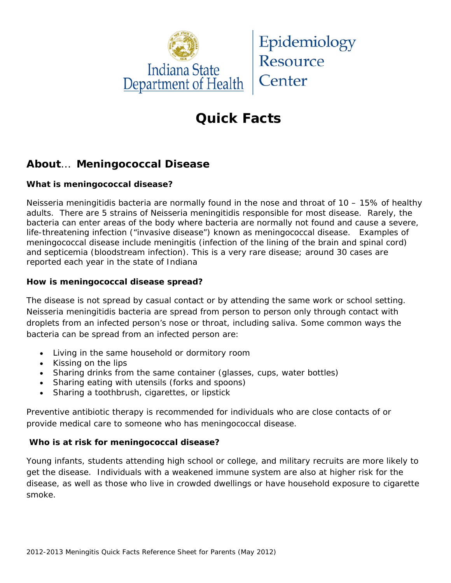

# **Quick Facts**

## **About**… **Meningococcal Disease**

### **What is meningococcal disease?**

*Neisseria meningitidis* bacteria are normally found in the nose and throat of 10 – 15% of healthy adults. There are 5 strains of *Neisseria meningitidis* responsible for most disease. Rarely, the bacteria can enter areas of the body where bacteria are normally not found and cause a severe, life-threatening infection ("invasive disease") known as meningococcal disease. Examples of meningococcal disease include meningitis (infection of the lining of the brain and spinal cord) and septicemia (bloodstream infection). This is a very rare disease; around 30 cases are reported each year in the state of Indiana

#### **How is meningococcal disease spread?**

The disease is not spread by casual contact or by attending the same work or school setting. *Neisseria meningitidis* bacteria are spread from person to person *only through* contact with droplets from an infected person's nose or throat, including saliva. Some common ways the bacteria can be spread from an infected person are:

- Living in the same household or dormitory room
- Kissing on the lips
- Sharing drinks from the same container (glasses, cups, water bottles)
- Sharing eating with utensils (forks and spoons)
- Sharing a toothbrush, cigarettes, or lipstick

Preventive antibiotic therapy is recommended for individuals who are close contacts of or provide medical care to someone who has meningococcal disease.

#### **Who is at risk for meningococcal disease?**

Young infants, students attending high school or college, and military recruits are more likely to get the disease. Individuals with a weakened immune system are also at higher risk for the disease, as well as those who live in crowded dwellings or have household exposure to cigarette smoke.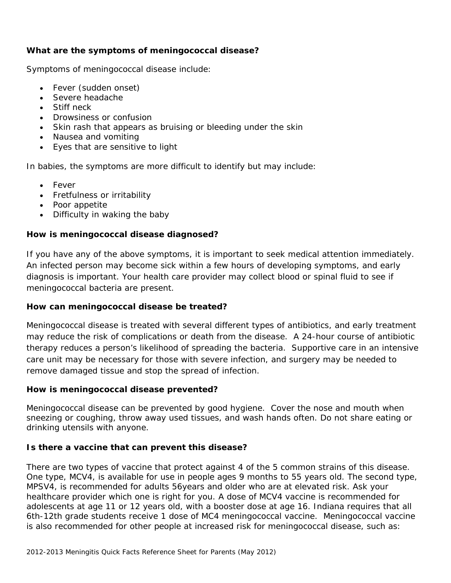#### **What are the symptoms of meningococcal disease?**

Symptoms of meningococcal disease include:

- Fever (sudden onset)
- Severe headache
- Stiff neck
- Drowsiness or confusion
- Skin rash that appears as bruising or bleeding under the skin
- Nausea and vomiting
- Eyes that are sensitive to light

In babies, the symptoms are more difficult to identify but may include:

- Fever
- Fretfulness or irritability
- Poor appetite
- Difficulty in waking the baby

#### **How is meningococcal disease diagnosed?**

If you have any of the above symptoms, it is important to seek medical attention immediately. An infected person may become sick within a few hours of developing symptoms, and early diagnosis is important. Your health care provider may collect blood or spinal fluid to see if meningococcal bacteria are present.

#### **How can meningococcal disease be treated?**

Meningococcal disease is treated with several different types of antibiotics, and early treatment may reduce the risk of complications or death from the disease. A 24-hour course of antibiotic therapy reduces a person's likelihood of spreading the bacteria. Supportive care in an intensive care unit may be necessary for those with severe infection, and surgery may be needed to remove damaged tissue and stop the spread of infection.

#### **How is meningococcal disease prevented?**

Meningococcal disease can be prevented by good hygiene. Cover the nose and mouth when sneezing or coughing, throw away used tissues, and wash hands often. Do not share eating or drinking utensils with anyone.

#### **Is there a vaccine that can prevent this disease?**

There are two types of vaccine that protect against 4 of the 5 common strains of this disease. One type, MCV4, is available for use in people ages 9 months to 55 years old. The second type, MPSV4, is recommended for adults 56years and older who are at elevated risk. Ask your healthcare provider which one is right for you. A dose of MCV4 vaccine is recommended for adolescents at age 11 or 12 years old, with a booster dose at age 16. Indiana requires that all 6th-12th grade students receive 1 dose of MC4 meningococcal vaccine. Meningococcal vaccine is also recommended for other people at increased risk for meningococcal disease, such as: